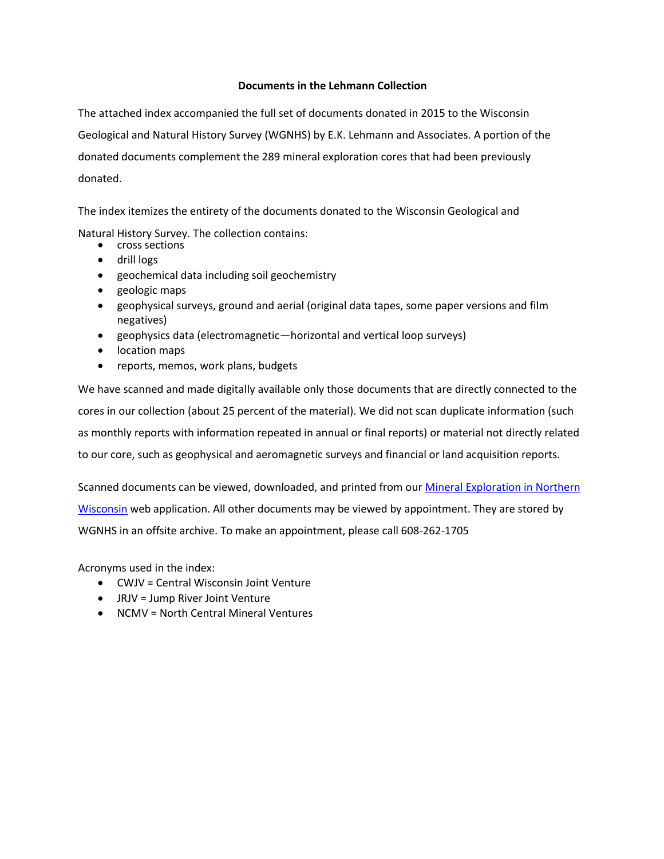#### **Documents in the Lehmann Collection**

The attached index accompanied the full set of documents donated in 2015 to the Wisconsin Geological and Natural History Survey (WGNHS) by E.K. Lehmann and Associates. A portion of the donated documents complement the 289 mineral exploration cores that had been previously donated.

The index itemizes the entirety of the documents donated to the Wisconsin Geological and

Natural History Survey. The collection contains:

- cross sections
- drill logs
- geochemical data including soil geochemistry
- geologic maps
- geophysical surveys, ground and aerial (original data tapes, some paper versions and film negatives)
- geophysics data (electromagnetic—horizontal and vertical loop surveys)
- location maps
- reports, memos, work plans, budgets

We have scanned and made digitally available only those documents that are directly connected to the cores in our collection (about 25 percent of the material). We did not scan duplicate information (such as monthly reports with information repeated in annual or final reports) or material not directly related to our core, such as geophysical and aeromagnetic surveys and financial or land acquisition reports.

Scanned documents can be viewed, downloaded, and printed from our Mineral Exploration in Northern [Wisconsin](http://uwex.maps.arcgis.com/apps/MapSeries/index.html?appid=079ce2d4bf81415098a7ca0b5c4c8580) web application. All other documents may be viewed by appointment. They are stored by WGNHS in an offsite archive. To make an appointment, please call 608-262-1705

Acronyms used in the index:

- CWJV = Central Wisconsin Joint Venture
- JRJV = Jump River Joint Venture
- NCMV = North Central Mineral Ventures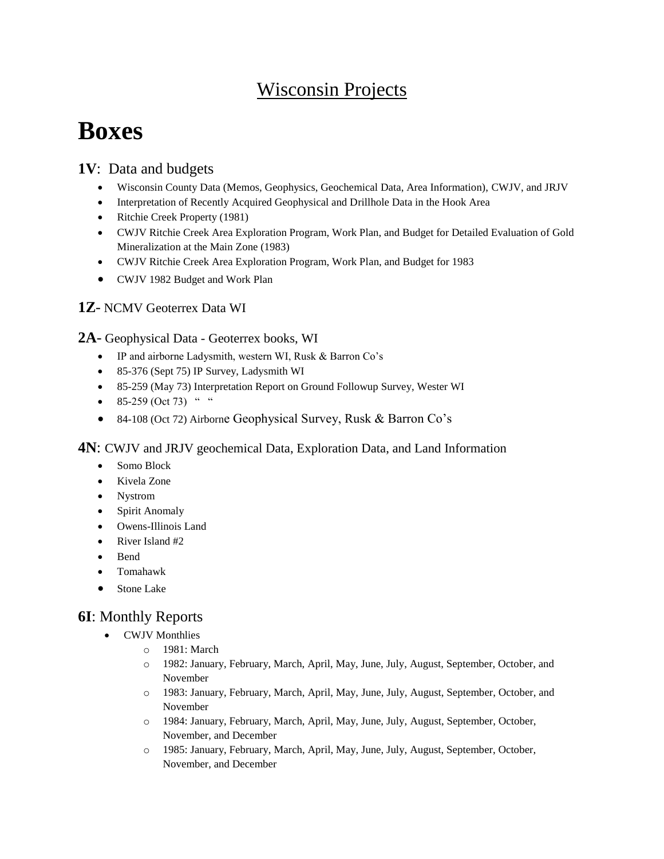## Wisconsin Projects

# **Boxes**

## **1V**: Data and budgets

- Wisconsin County Data (Memos, Geophysics, Geochemical Data, Area Information), CWJV, and JRJV
- Interpretation of Recently Acquired Geophysical and Drillhole Data in the Hook Area
- Ritchie Creek Property (1981)
- CWJV Ritchie Creek Area Exploration Program, Work Plan, and Budget for Detailed Evaluation of Gold Mineralization at the Main Zone (1983)
- CWJV Ritchie Creek Area Exploration Program, Work Plan, and Budget for 1983
- CWJV 1982 Budget and Work Plan

#### **1Z**- NCMV Geoterrex Data WI

#### **2A**- Geophysical Data - Geoterrex books, WI

- IP and airborne Ladysmith, western WI, Rusk & Barron Co's
- 85-376 (Sept 75) IP Survey, Ladysmith WI
- 85-259 (May 73) Interpretation Report on Ground Followup Survey, Wester WI
- $\bullet$  85-259 (Oct 73) "
- 84-108 (Oct 72) Airborne Geophysical Survey, Rusk & Barron Co's

#### **4N**: CWJV and JRJV geochemical Data, Exploration Data, and Land Information

- Somo Block
- Kivela Zone
- Nystrom
- Spirit Anomaly
- Owens-Illinois Land
- $\bullet$  River Island #2
- Bend
- Tomahawk
- Stone Lake

## **6I**: Monthly Reports

- CWJV Monthlies
	- o 1981: March
	- o 1982: January, February, March, April, May, June, July, August, September, October, and November
	- o 1983: January, February, March, April, May, June, July, August, September, October, and November
	- o 1984: January, February, March, April, May, June, July, August, September, October, November, and December
	- o 1985: January, February, March, April, May, June, July, August, September, October, November, and December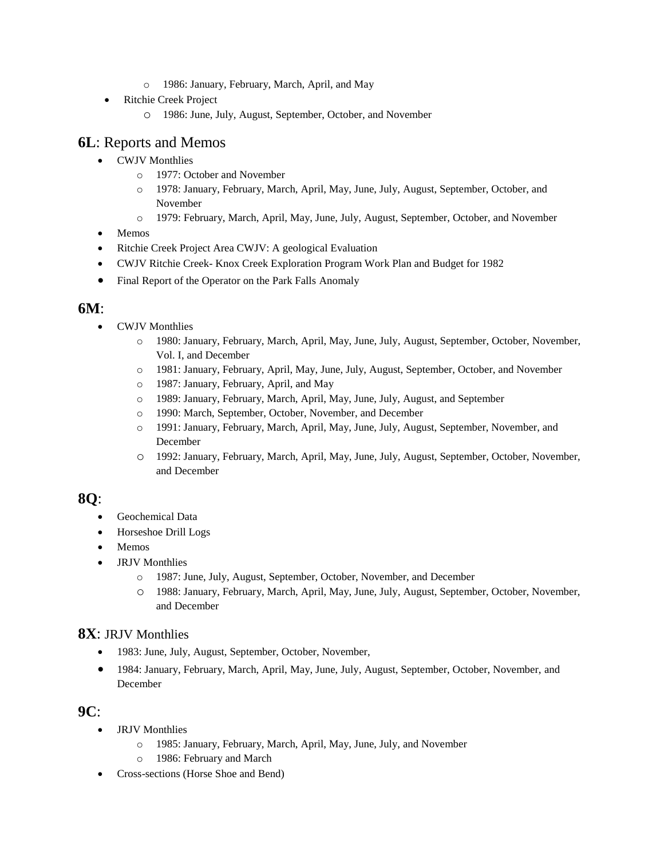- o 1986: January, February, March, April, and May
- Ritchie Creek Project
	- o 1986: June, July, August, September, October, and November

## **6L**: Reports and Memos

- CWJV Monthlies
	- o 1977: October and November
	- o 1978: January, February, March, April, May, June, July, August, September, October, and November
	- o 1979: February, March, April, May, June, July, August, September, October, and November
- Memos
- Ritchie Creek Project Area CWJV: A geological Evaluation
- CWJV Ritchie Creek- Knox Creek Exploration Program Work Plan and Budget for 1982
- Final Report of the Operator on the Park Falls Anomaly

#### **6M**:

- CWJV Monthlies
	- o 1980: January, February, March, April, May, June, July, August, September, October, November, Vol. I, and December
	- o 1981: January, February, April, May, June, July, August, September, October, and November
	- o 1987: January, February, April, and May
	- o 1989: January, February, March, April, May, June, July, August, and September
	- o 1990: March, September, October, November, and December
	- o 1991: January, February, March, April, May, June, July, August, September, November, and December
	- o 1992: January, February, March, April, May, June, July, August, September, October, November, and December

### **8Q**:

- Geochemical Data
- Horseshoe Drill Logs
- Memos
- JRJV Monthlies
	- o 1987: June, July, August, September, October, November, and December
	- o 1988: January, February, March, April, May, June, July, August, September, October, November, and December

#### **8X**: JRJV Monthlies

- 1983: June, July, August, September, October, November,
- 1984: January, February, March, April, May, June, July, August, September, October, November, and December

#### **9C**:

- JRJV Monthlies
	- o 1985: January, February, March, April, May, June, July, and November
	- o 1986: February and March
- Cross-sections (Horse Shoe and Bend)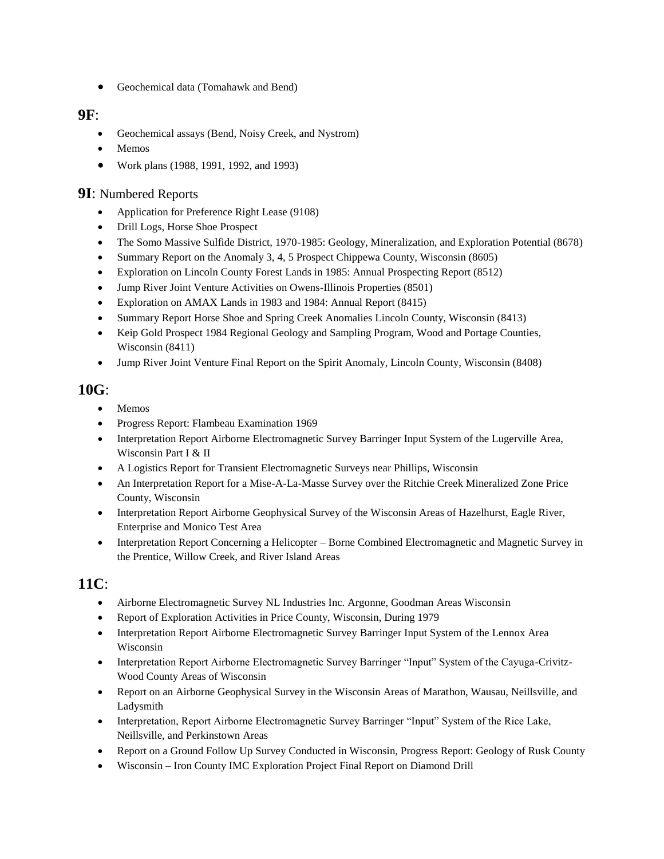Geochemical data (Tomahawk and Bend)

#### **9F**:

- Geochemical assays (Bend, Noisy Creek, and Nystrom)
- Memos
- Work plans (1988, 1991, 1992, and 1993)

#### **9I**: Numbered Reports

- Application for Preference Right Lease (9108)
- Drill Logs, Horse Shoe Prospect
- The Somo Massive Sulfide District, 1970-1985: Geology, Mineralization, and Exploration Potential (8678)
- Summary Report on the Anomaly 3, 4, 5 Prospect Chippewa County, Wisconsin (8605)
- Exploration on Lincoln County Forest Lands in 1985: Annual Prospecting Report (8512)
- Jump River Joint Venture Activities on Owens-Illinois Properties (8501)
- Exploration on AMAX Lands in 1983 and 1984: Annual Report (8415)
- Summary Report Horse Shoe and Spring Creek Anomalies Lincoln County, Wisconsin (8413)
- Keip Gold Prospect 1984 Regional Geology and Sampling Program, Wood and Portage Counties, Wisconsin (8411)
- Jump River Joint Venture Final Report on the Spirit Anomaly, Lincoln County, Wisconsin (8408)

### **10G**:

- Memos
- Progress Report: Flambeau Examination 1969
- Interpretation Report Airborne Electromagnetic Survey Barringer Input System of the Lugerville Area, Wisconsin Part I & II
- A Logistics Report for Transient Electromagnetic Surveys near Phillips, Wisconsin
- An Interpretation Report for a Mise-A-La-Masse Survey over the Ritchie Creek Mineralized Zone Price County, Wisconsin
- Interpretation Report Airborne Geophysical Survey of the Wisconsin Areas of Hazelhurst, Eagle River, Enterprise and Monico Test Area
- Interpretation Report Concerning a Helicopter Borne Combined Electromagnetic and Magnetic Survey in the Prentice, Willow Creek, and River Island Areas

## **11C**:

- Airborne Electromagnetic Survey NL Industries Inc. Argonne, Goodman Areas Wisconsin
- Report of Exploration Activities in Price County, Wisconsin, During 1979
- Interpretation Report Airborne Electromagnetic Survey Barringer Input System of the Lennox Area Wisconsin
- Interpretation Report Airborne Electromagnetic Survey Barringer "Input" System of the Cayuga-Crivitz-Wood County Areas of Wisconsin
- Report on an Airborne Geophysical Survey in the Wisconsin Areas of Marathon, Wausau, Neillsville, and Ladysmith
- Interpretation, Report Airborne Electromagnetic Survey Barringer "Input" System of the Rice Lake, Neillsville, and Perkinstown Areas
- Report on a Ground Follow Up Survey Conducted in Wisconsin, Progress Report: Geology of Rusk County
- Wisconsin Iron County IMC Exploration Project Final Report on Diamond Drill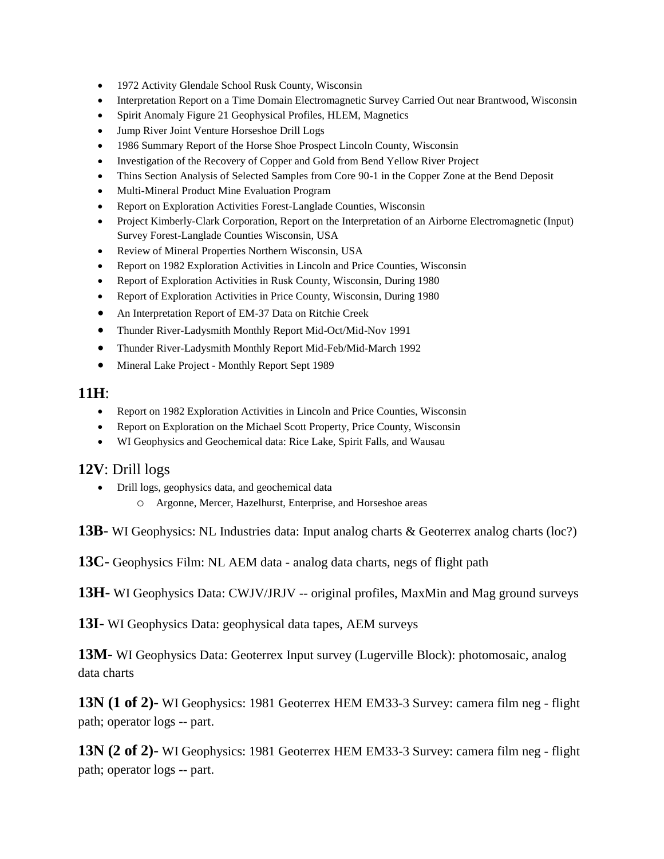- 1972 Activity Glendale School Rusk County, Wisconsin
- Interpretation Report on a Time Domain Electromagnetic Survey Carried Out near Brantwood, Wisconsin
- Spirit Anomaly Figure 21 Geophysical Profiles, HLEM, Magnetics
- Jump River Joint Venture Horseshoe Drill Logs
- 1986 Summary Report of the Horse Shoe Prospect Lincoln County, Wisconsin
- Investigation of the Recovery of Copper and Gold from Bend Yellow River Project
- Thins Section Analysis of Selected Samples from Core 90-1 in the Copper Zone at the Bend Deposit
- Multi-Mineral Product Mine Evaluation Program
- Report on Exploration Activities Forest-Langlade Counties, Wisconsin
- Project Kimberly-Clark Corporation, Report on the Interpretation of an Airborne Electromagnetic (Input) Survey Forest-Langlade Counties Wisconsin, USA
- Review of Mineral Properties Northern Wisconsin, USA
- Report on 1982 Exploration Activities in Lincoln and Price Counties, Wisconsin
- Report of Exploration Activities in Rusk County, Wisconsin, During 1980
- Report of Exploration Activities in Price County, Wisconsin, During 1980
- An Interpretation Report of EM-37 Data on Ritchie Creek
- Thunder River-Ladysmith Monthly Report Mid-Oct/Mid-Nov 1991
- Thunder River-Ladysmith Monthly Report Mid-Feb/Mid-March 1992
- Mineral Lake Project Monthly Report Sept 1989

#### **11H**:

- Report on 1982 Exploration Activities in Lincoln and Price Counties, Wisconsin
- Report on Exploration on the Michael Scott Property, Price County, Wisconsin
- WI Geophysics and Geochemical data: Rice Lake, Spirit Falls, and Wausau

#### **12V**: Drill logs

- Drill logs, geophysics data, and geochemical data
	- o Argonne, Mercer, Hazelhurst, Enterprise, and Horseshoe areas

**13B**- WI Geophysics: NL Industries data: Input analog charts & Geoterrex analog charts (loc?)

**13C**- Geophysics Film: NL AEM data - analog data charts, negs of flight path

**13H**- WI Geophysics Data: CWJV/JRJV -- original profiles, MaxMin and Mag ground surveys

**13I**- WI Geophysics Data: geophysical data tapes, AEM surveys

**13M**- WI Geophysics Data: Geoterrex Input survey (Lugerville Block): photomosaic, analog data charts

**13N (1 of 2)**- WI Geophysics: 1981 Geoterrex HEM EM33-3 Survey: camera film neg - flight path; operator logs -- part.

**13N (2 of 2)**- WI Geophysics: 1981 Geoterrex HEM EM33-3 Survey: camera film neg - flight path; operator logs -- part.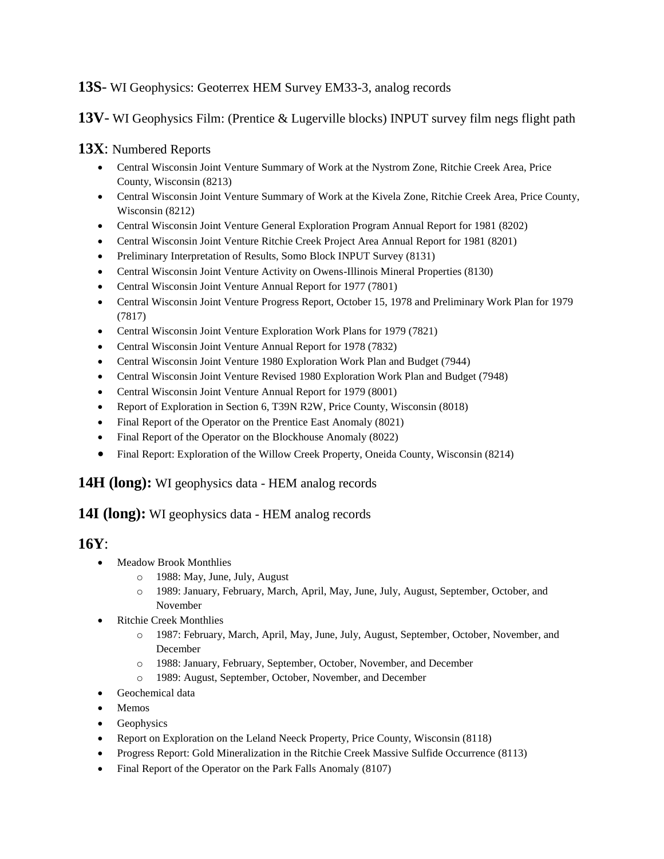#### **13S**- WI Geophysics: Geoterrex HEM Survey EM33-3, analog records

#### **13V**- WI Geophysics Film: (Prentice & Lugerville blocks) INPUT survey film negs flight path

#### **13X**: Numbered Reports

- Central Wisconsin Joint Venture Summary of Work at the Nystrom Zone, Ritchie Creek Area, Price County, Wisconsin (8213)
- Central Wisconsin Joint Venture Summary of Work at the Kivela Zone, Ritchie Creek Area, Price County, Wisconsin (8212)
- Central Wisconsin Joint Venture General Exploration Program Annual Report for 1981 (8202)
- Central Wisconsin Joint Venture Ritchie Creek Project Area Annual Report for 1981 (8201)
- Preliminary Interpretation of Results, Somo Block INPUT Survey (8131)
- Central Wisconsin Joint Venture Activity on Owens-Illinois Mineral Properties (8130)
- Central Wisconsin Joint Venture Annual Report for 1977 (7801)
- Central Wisconsin Joint Venture Progress Report, October 15, 1978 and Preliminary Work Plan for 1979 (7817)
- Central Wisconsin Joint Venture Exploration Work Plans for 1979 (7821)
- Central Wisconsin Joint Venture Annual Report for 1978 (7832)
- Central Wisconsin Joint Venture 1980 Exploration Work Plan and Budget (7944)
- Central Wisconsin Joint Venture Revised 1980 Exploration Work Plan and Budget (7948)
- Central Wisconsin Joint Venture Annual Report for 1979 (8001)
- Report of Exploration in Section 6, T39N R2W, Price County, Wisconsin (8018)
- Final Report of the Operator on the Prentice East Anomaly (8021)
- Final Report of the Operator on the Blockhouse Anomaly (8022)
- Final Report: Exploration of the Willow Creek Property, Oneida County, Wisconsin (8214)

#### **14H (long):** WI geophysics data - HEM analog records

#### **14I (long):** WI geophysics data - HEM analog records

### **16Y**:

- Meadow Brook Monthlies
	- o 1988: May, June, July, August
	- o 1989: January, February, March, April, May, June, July, August, September, October, and November
- Ritchie Creek Monthlies
	- o 1987: February, March, April, May, June, July, August, September, October, November, and December
	- o 1988: January, February, September, October, November, and December
	- o 1989: August, September, October, November, and December
- Geochemical data
- Memos
- Geophysics
- Report on Exploration on the Leland Neeck Property, Price County, Wisconsin (8118)
- Progress Report: Gold Mineralization in the Ritchie Creek Massive Sulfide Occurrence (8113)
- Final Report of the Operator on the Park Falls Anomaly (8107)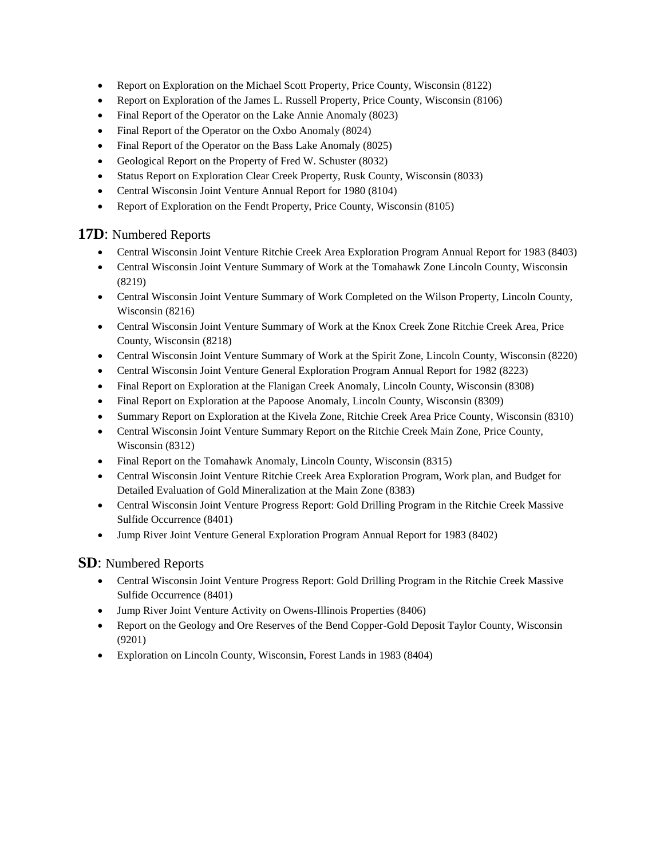- Report on Exploration on the Michael Scott Property, Price County, Wisconsin (8122)
- Report on Exploration of the James L. Russell Property, Price County, Wisconsin (8106)
- Final Report of the Operator on the Lake Annie Anomaly (8023)
- Final Report of the Operator on the Oxbo Anomaly (8024)
- Final Report of the Operator on the Bass Lake Anomaly (8025)
- Geological Report on the Property of Fred W. Schuster (8032)
- Status Report on Exploration Clear Creek Property, Rusk County, Wisconsin (8033)
- Central Wisconsin Joint Venture Annual Report for 1980 (8104)
- Report of Exploration on the Fendt Property, Price County, Wisconsin (8105)

#### **17D**: Numbered Reports

- Central Wisconsin Joint Venture Ritchie Creek Area Exploration Program Annual Report for 1983 (8403)
- Central Wisconsin Joint Venture Summary of Work at the Tomahawk Zone Lincoln County, Wisconsin (8219)
- Central Wisconsin Joint Venture Summary of Work Completed on the Wilson Property, Lincoln County, Wisconsin (8216)
- Central Wisconsin Joint Venture Summary of Work at the Knox Creek Zone Ritchie Creek Area, Price County, Wisconsin (8218)
- Central Wisconsin Joint Venture Summary of Work at the Spirit Zone, Lincoln County, Wisconsin (8220)
- Central Wisconsin Joint Venture General Exploration Program Annual Report for 1982 (8223)
- Final Report on Exploration at the Flanigan Creek Anomaly, Lincoln County, Wisconsin (8308)
- Final Report on Exploration at the Papoose Anomaly, Lincoln County, Wisconsin (8309)
- Summary Report on Exploration at the Kivela Zone, Ritchie Creek Area Price County, Wisconsin (8310)
- Central Wisconsin Joint Venture Summary Report on the Ritchie Creek Main Zone, Price County, Wisconsin (8312)
- Final Report on the Tomahawk Anomaly, Lincoln County, Wisconsin (8315)
- Central Wisconsin Joint Venture Ritchie Creek Area Exploration Program, Work plan, and Budget for Detailed Evaluation of Gold Mineralization at the Main Zone (8383)
- Central Wisconsin Joint Venture Progress Report: Gold Drilling Program in the Ritchie Creek Massive Sulfide Occurrence (8401)
- Jump River Joint Venture General Exploration Program Annual Report for 1983 (8402)

#### **SD**: Numbered Reports

- Central Wisconsin Joint Venture Progress Report: Gold Drilling Program in the Ritchie Creek Massive Sulfide Occurrence (8401)
- Jump River Joint Venture Activity on Owens-Illinois Properties (8406)
- Report on the Geology and Ore Reserves of the Bend Copper-Gold Deposit Taylor County, Wisconsin (9201)
- Exploration on Lincoln County, Wisconsin, Forest Lands in 1983 (8404)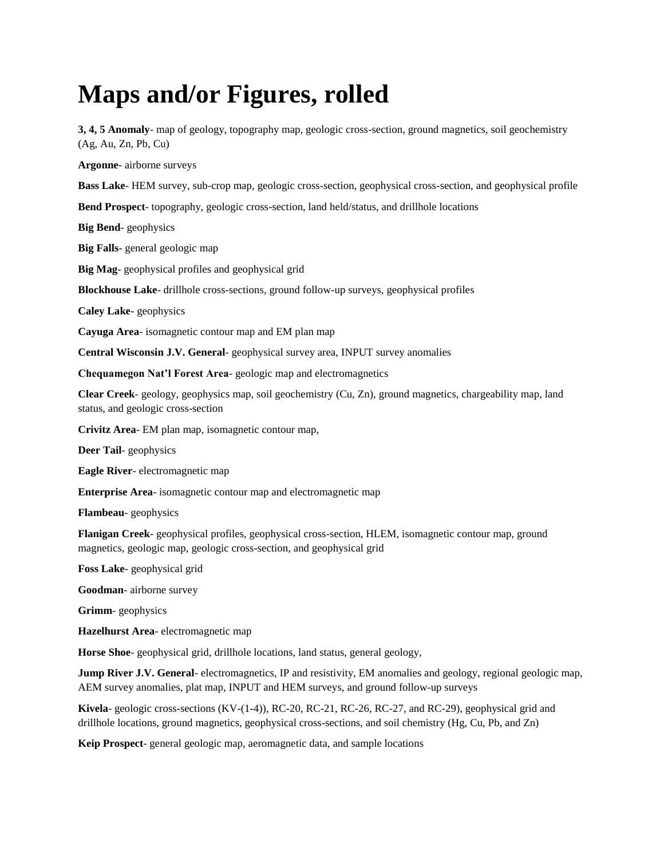# **Maps and/or Figures, rolled**

**3, 4, 5 Anomaly**- map of geology, topography map, geologic cross-section, ground magnetics, soil geochemistry (Ag, Au, Zn, Pb, Cu)

**Argonne**- airborne surveys

**Bass Lake**- HEM survey, sub-crop map, geologic cross-section, geophysical cross-section, and geophysical profile

**Bend Prospect**- topography, geologic cross-section, land held/status, and drillhole locations

**Big Bend**- geophysics

**Big Falls**- general geologic map

**Big Mag**- geophysical profiles and geophysical grid

**Blockhouse Lake**- drillhole cross-sections, ground follow-up surveys, geophysical profiles

**Caley Lake**- geophysics

**Cayuga Area**- isomagnetic contour map and EM plan map

**Central Wisconsin J.V. General**- geophysical survey area, INPUT survey anomalies

**Chequamegon Nat'l Forest Area**- geologic map and electromagnetics

**Clear Creek**- geology, geophysics map, soil geochemistry (Cu, Zn), ground magnetics, chargeability map, land status, and geologic cross-section

**Crivitz Area**- EM plan map, isomagnetic contour map,

**Deer Tail**- geophysics

**Eagle River**- electromagnetic map

**Enterprise Area**- isomagnetic contour map and electromagnetic map

**Flambeau**- geophysics

**Flanigan Creek**- geophysical profiles, geophysical cross-section, HLEM, isomagnetic contour map, ground magnetics, geologic map, geologic cross-section, and geophysical grid

**Foss Lake**- geophysical grid

**Goodman**- airborne survey

**Grimm**- geophysics

**Hazelhurst Area**- electromagnetic map

**Horse Shoe**- geophysical grid, drillhole locations, land status, general geology,

**Jump River J.V. General-** electromagnetics, IP and resistivity, EM anomalies and geology, regional geologic map, AEM survey anomalies, plat map, INPUT and HEM surveys, and ground follow-up surveys

**Kivela**- geologic cross-sections (KV-(1-4)), RC-20, RC-21, RC-26, RC-27, and RC-29), geophysical grid and drillhole locations, ground magnetics, geophysical cross-sections, and soil chemistry (Hg, Cu, Pb, and Zn)

**Keip Prospect**- general geologic map, aeromagnetic data, and sample locations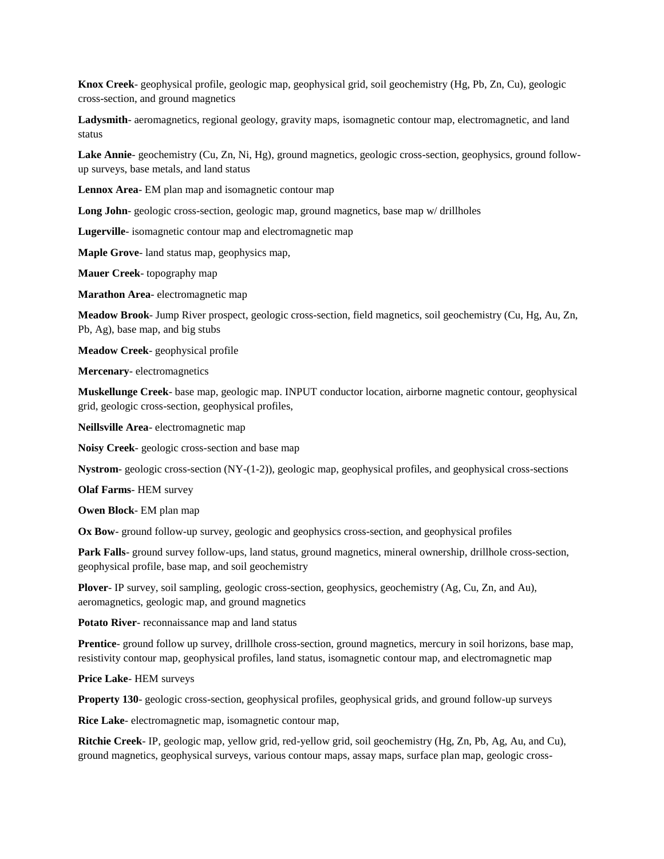**Knox Creek**- geophysical profile, geologic map, geophysical grid, soil geochemistry (Hg, Pb, Zn, Cu), geologic cross-section, and ground magnetics

**Ladysmith**- aeromagnetics, regional geology, gravity maps, isomagnetic contour map, electromagnetic, and land status

**Lake Annie**- geochemistry (Cu, Zn, Ni, Hg), ground magnetics, geologic cross-section, geophysics, ground followup surveys, base metals, and land status

**Lennox Area**- EM plan map and isomagnetic contour map

**Long John**- geologic cross-section, geologic map, ground magnetics, base map w/ drillholes

**Lugerville**- isomagnetic contour map and electromagnetic map

**Maple Grove**- land status map, geophysics map,

**Mauer Creek**- topography map

**Marathon Area**- electromagnetic map

**Meadow Brook**- Jump River prospect, geologic cross-section, field magnetics, soil geochemistry (Cu, Hg, Au, Zn, Pb, Ag), base map, and big stubs

**Meadow Creek**- geophysical profile

**Mercenary**- electromagnetics

**Muskellunge Creek**- base map, geologic map. INPUT conductor location, airborne magnetic contour, geophysical grid, geologic cross-section, geophysical profiles,

**Neillsville Area**- electromagnetic map

**Noisy Creek**- geologic cross-section and base map

**Nystrom**- geologic cross-section (NY-(1-2)), geologic map, geophysical profiles, and geophysical cross-sections

**Olaf Farms**- HEM survey

**Owen Block**- EM plan map

**Ox Bow**- ground follow-up survey, geologic and geophysics cross-section, and geophysical profiles

**Park Falls**- ground survey follow-ups, land status, ground magnetics, mineral ownership, drillhole cross-section, geophysical profile, base map, and soil geochemistry

**Plover**- IP survey, soil sampling, geologic cross-section, geophysics, geochemistry (Ag, Cu, Zn, and Au), aeromagnetics, geologic map, and ground magnetics

**Potato River**- reconnaissance map and land status

**Prentice**- ground follow up survey, drillhole cross-section, ground magnetics, mercury in soil horizons, base map, resistivity contour map, geophysical profiles, land status, isomagnetic contour map, and electromagnetic map

**Price Lake**- HEM surveys

**Property 130**- geologic cross-section, geophysical profiles, geophysical grids, and ground follow-up surveys

**Rice Lake**- electromagnetic map, isomagnetic contour map,

**Ritchie Creek**- IP, geologic map, yellow grid, red-yellow grid, soil geochemistry (Hg, Zn, Pb, Ag, Au, and Cu), ground magnetics, geophysical surveys, various contour maps, assay maps, surface plan map, geologic cross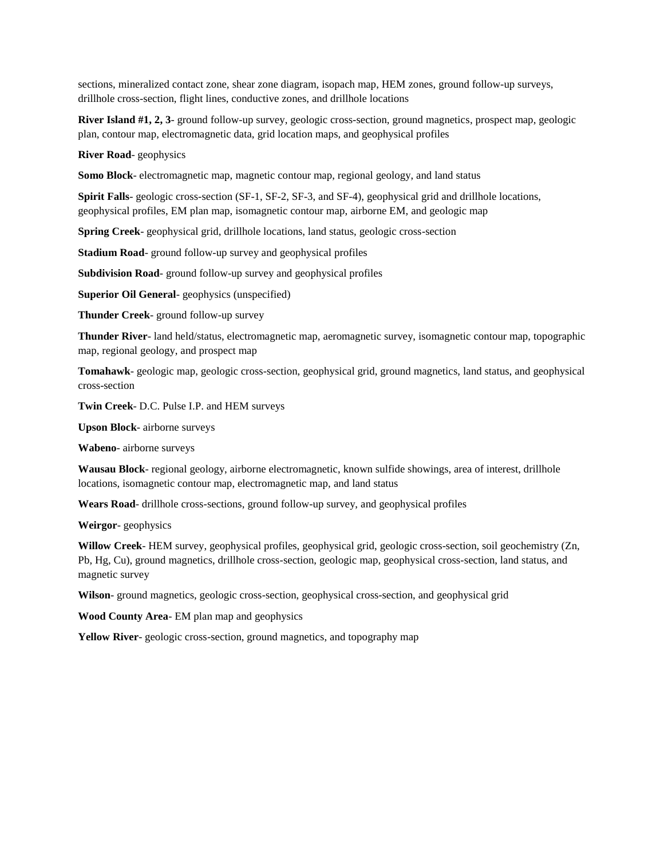sections, mineralized contact zone, shear zone diagram, isopach map, HEM zones, ground follow-up surveys, drillhole cross-section, flight lines, conductive zones, and drillhole locations

**River Island #1, 2, 3**- ground follow-up survey, geologic cross-section, ground magnetics, prospect map, geologic plan, contour map, electromagnetic data, grid location maps, and geophysical profiles

**River Road**- geophysics

**Somo Block**- electromagnetic map, magnetic contour map, regional geology, and land status

**Spirit Falls**- geologic cross-section (SF-1, SF-2, SF-3, and SF-4), geophysical grid and drillhole locations, geophysical profiles, EM plan map, isomagnetic contour map, airborne EM, and geologic map

**Spring Creek**- geophysical grid, drillhole locations, land status, geologic cross-section

**Stadium Road**- ground follow-up survey and geophysical profiles

**Subdivision Road**- ground follow-up survey and geophysical profiles

**Superior Oil General**- geophysics (unspecified)

**Thunder Creek**- ground follow-up survey

**Thunder River**- land held/status, electromagnetic map, aeromagnetic survey, isomagnetic contour map, topographic map, regional geology, and prospect map

**Tomahawk**- geologic map, geologic cross-section, geophysical grid, ground magnetics, land status, and geophysical cross-section

**Twin Creek**- D.C. Pulse I.P. and HEM surveys

**Upson Block**- airborne surveys

**Wabeno**- airborne surveys

**Wausau Block**- regional geology, airborne electromagnetic, known sulfide showings, area of interest, drillhole locations, isomagnetic contour map, electromagnetic map, and land status

**Wears Road**- drillhole cross-sections, ground follow-up survey, and geophysical profiles

**Weirgor**- geophysics

**Willow Creek**- HEM survey, geophysical profiles, geophysical grid, geologic cross-section, soil geochemistry (Zn, Pb, Hg, Cu), ground magnetics, drillhole cross-section, geologic map, geophysical cross-section, land status, and magnetic survey

**Wilson**- ground magnetics, geologic cross-section, geophysical cross-section, and geophysical grid

**Wood County Area**- EM plan map and geophysics

**Yellow River**- geologic cross-section, ground magnetics, and topography map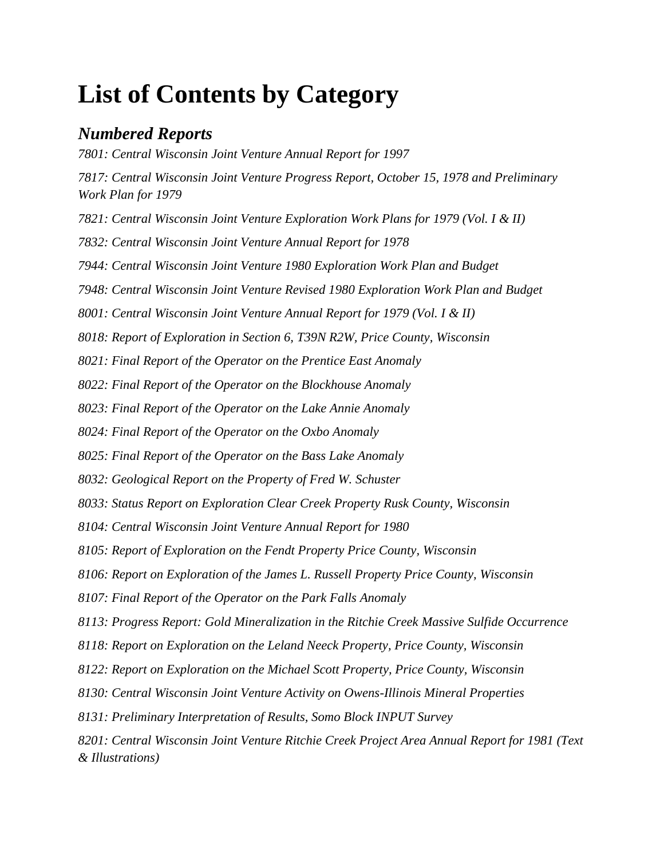# **List of Contents by Category**

## *Numbered Reports*

*7801: Central Wisconsin Joint Venture Annual Report for 1997 7817: Central Wisconsin Joint Venture Progress Report, October 15, 1978 and Preliminary Work Plan for 1979 7821: Central Wisconsin Joint Venture Exploration Work Plans for 1979 (Vol. I & II) 7832: Central Wisconsin Joint Venture Annual Report for 1978 7944: Central Wisconsin Joint Venture 1980 Exploration Work Plan and Budget 7948: Central Wisconsin Joint Venture Revised 1980 Exploration Work Plan and Budget 8001: Central Wisconsin Joint Venture Annual Report for 1979 (Vol. I & II) 8018: Report of Exploration in Section 6, T39N R2W, Price County, Wisconsin 8021: Final Report of the Operator on the Prentice East Anomaly 8022: Final Report of the Operator on the Blockhouse Anomaly 8023: Final Report of the Operator on the Lake Annie Anomaly 8024: Final Report of the Operator on the Oxbo Anomaly 8025: Final Report of the Operator on the Bass Lake Anomaly 8032: Geological Report on the Property of Fred W. Schuster 8033: Status Report on Exploration Clear Creek Property Rusk County, Wisconsin 8104: Central Wisconsin Joint Venture Annual Report for 1980 8105: Report of Exploration on the Fendt Property Price County, Wisconsin 8106: Report on Exploration of the James L. Russell Property Price County, Wisconsin 8107: Final Report of the Operator on the Park Falls Anomaly 8113: Progress Report: Gold Mineralization in the Ritchie Creek Massive Sulfide Occurrence 8118: Report on Exploration on the Leland Neeck Property, Price County, Wisconsin 8122: Report on Exploration on the Michael Scott Property, Price County, Wisconsin 8130: Central Wisconsin Joint Venture Activity on Owens-Illinois Mineral Properties 8131: Preliminary Interpretation of Results, Somo Block INPUT Survey 8201: Central Wisconsin Joint Venture Ritchie Creek Project Area Annual Report for 1981 (Text & Illustrations)*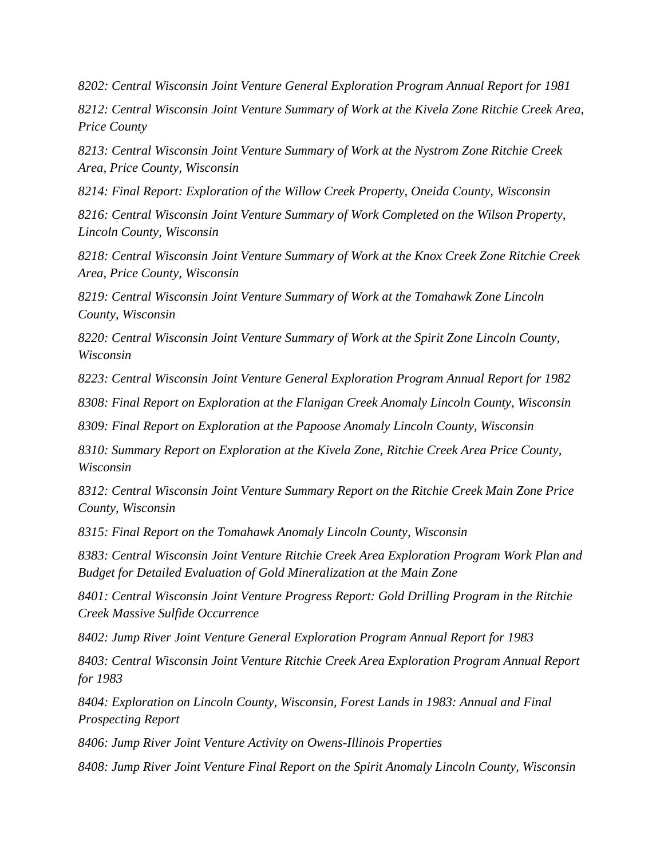*8202: Central Wisconsin Joint Venture General Exploration Program Annual Report for 1981*

*8212: Central Wisconsin Joint Venture Summary of Work at the Kivela Zone Ritchie Creek Area, Price County*

*8213: Central Wisconsin Joint Venture Summary of Work at the Nystrom Zone Ritchie Creek Area, Price County, Wisconsin*

*8214: Final Report: Exploration of the Willow Creek Property, Oneida County, Wisconsin*

*8216: Central Wisconsin Joint Venture Summary of Work Completed on the Wilson Property, Lincoln County, Wisconsin*

*8218: Central Wisconsin Joint Venture Summary of Work at the Knox Creek Zone Ritchie Creek Area, Price County, Wisconsin*

*8219: Central Wisconsin Joint Venture Summary of Work at the Tomahawk Zone Lincoln County, Wisconsin*

*8220: Central Wisconsin Joint Venture Summary of Work at the Spirit Zone Lincoln County, Wisconsin*

*8223: Central Wisconsin Joint Venture General Exploration Program Annual Report for 1982*

*8308: Final Report on Exploration at the Flanigan Creek Anomaly Lincoln County, Wisconsin*

*8309: Final Report on Exploration at the Papoose Anomaly Lincoln County, Wisconsin*

*8310: Summary Report on Exploration at the Kivela Zone, Ritchie Creek Area Price County, Wisconsin*

*8312: Central Wisconsin Joint Venture Summary Report on the Ritchie Creek Main Zone Price County, Wisconsin*

*8315: Final Report on the Tomahawk Anomaly Lincoln County, Wisconsin*

*8383: Central Wisconsin Joint Venture Ritchie Creek Area Exploration Program Work Plan and Budget for Detailed Evaluation of Gold Mineralization at the Main Zone*

*8401: Central Wisconsin Joint Venture Progress Report: Gold Drilling Program in the Ritchie Creek Massive Sulfide Occurrence*

*8402: Jump River Joint Venture General Exploration Program Annual Report for 1983*

*8403: Central Wisconsin Joint Venture Ritchie Creek Area Exploration Program Annual Report for 1983*

*8404: Exploration on Lincoln County, Wisconsin, Forest Lands in 1983: Annual and Final Prospecting Report*

*8406: Jump River Joint Venture Activity on Owens-Illinois Properties*

*8408: Jump River Joint Venture Final Report on the Spirit Anomaly Lincoln County, Wisconsin*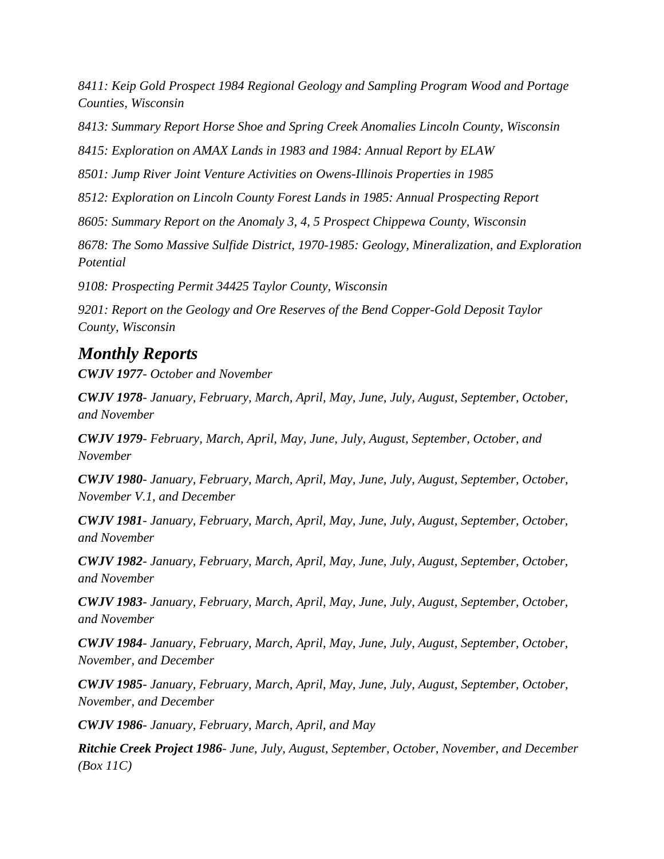*8411: Keip Gold Prospect 1984 Regional Geology and Sampling Program Wood and Portage Counties, Wisconsin*

*8413: Summary Report Horse Shoe and Spring Creek Anomalies Lincoln County, Wisconsin*

*8415: Exploration on AMAX Lands in 1983 and 1984: Annual Report by ELAW*

*8501: Jump River Joint Venture Activities on Owens-Illinois Properties in 1985*

*8512: Exploration on Lincoln County Forest Lands in 1985: Annual Prospecting Report*

*8605: Summary Report on the Anomaly 3, 4, 5 Prospect Chippewa County, Wisconsin*

*8678: The Somo Massive Sulfide District, 1970-1985: Geology, Mineralization, and Exploration Potential*

*9108: Prospecting Permit 34425 Taylor County, Wisconsin*

*9201: Report on the Geology and Ore Reserves of the Bend Copper-Gold Deposit Taylor County, Wisconsin*

## *Monthly Reports*

*CWJV 1977- October and November*

*CWJV 1978- January, February, March, April, May, June, July, August, September, October, and November*

*CWJV 1979- February, March, April, May, June, July, August, September, October, and November*

*CWJV 1980- January, February, March, April, May, June, July, August, September, October, November V.1, and December*

*CWJV 1981- January, February, March, April, May, June, July, August, September, October, and November*

*CWJV 1982- January, February, March, April, May, June, July, August, September, October, and November*

*CWJV 1983- January, February, March, April, May, June, July, August, September, October, and November*

*CWJV 1984- January, February, March, April, May, June, July, August, September, October, November, and December*

*CWJV 1985- January, February, March, April, May, June, July, August, September, October, November, and December*

*CWJV 1986- January, February, March, April, and May*

*Ritchie Creek Project 1986- June, July, August, September, October, November, and December (Box 11C)*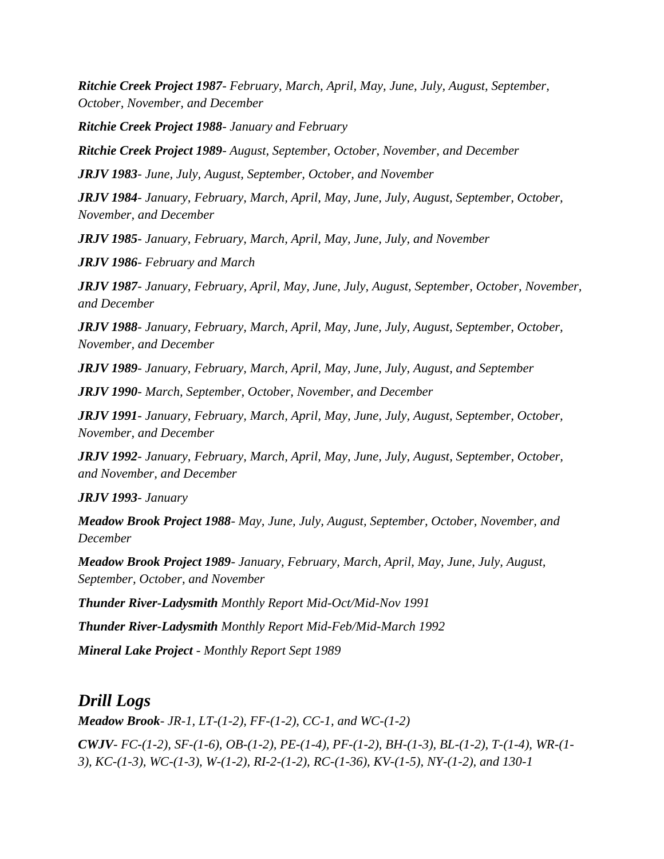*Ritchie Creek Project 1987- February, March, April, May, June, July, August, September, October, November, and December*

*Ritchie Creek Project 1988- January and February* 

*Ritchie Creek Project 1989- August, September, October, November, and December*

*JRJV 1983- June, July, August, September, October, and November*

*JRJV 1984- January, February, March, April, May, June, July, August, September, October, November, and December*

*JRJV 1985- January, February, March, April, May, June, July, and November*

*JRJV 1986- February and March* 

*JRJV 1987- January, February, April, May, June, July, August, September, October, November, and December*

*JRJV 1988- January, February, March, April, May, June, July, August, September, October, November, and December*

*JRJV 1989- January, February, March, April, May, June, July, August, and September*

*JRJV 1990- March, September, October, November, and December*

*JRJV 1991- January, February, March, April, May, June, July, August, September, October, November, and December*

*JRJV 1992- January, February, March, April, May, June, July, August, September, October, and November, and December*

*JRJV 1993- January*

*Meadow Brook Project 1988- May, June, July, August, September, October, November, and December*

*Meadow Brook Project 1989- January, February, March, April, May, June, July, August, September, October, and November*

*Thunder River-Ladysmith Monthly Report Mid-Oct/Mid-Nov 1991*

*Thunder River-Ladysmith Monthly Report Mid-Feb/Mid-March 1992*

*Mineral Lake Project - Monthly Report Sept 1989*

## *Drill Logs*

*Meadow Brook- JR-1, LT-(1-2), FF-(1-2), CC-1, and WC-(1-2) CWJV- FC-(1-2), SF-(1-6), OB-(1-2), PE-(1-4), PF-(1-2), BH-(1-3), BL-(1-2), T-(1-4), WR-(1- 3), KC-(1-3), WC-(1-3), W-(1-2), RI-2-(1-2), RC-(1-36), KV-(1-5), NY-(1-2), and 130-1*